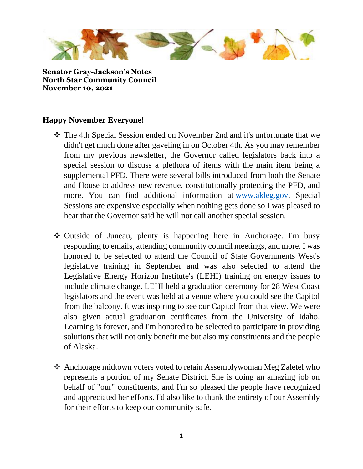

**Senator Gray-Jackson's Notes North Star Community Council November 10, 2021**

## **Happy November Everyone!**

- ❖ The 4th Special Session ended on November 2nd and it's unfortunate that we didn't get much done after gaveling in on October 4th. As you may remember from my previous newsletter, the Governor called legislators back into a special session to discuss a plethora of items with the main item being a supplemental PFD. There were several bills introduced from both the Senate and House to address new revenue, constitutionally protecting the PFD, and more. You can find additional information at [www.akleg.gov.](http://www.akleg.gov/) Special Sessions are expensive especially when nothing gets done so I was pleased to hear that the Governor said he will not call another special session.
- ❖ Outside of Juneau, plenty is happening here in Anchorage. I'm busy responding to emails, attending community council meetings, and more. I was honored to be selected to attend the Council of State Governments West's legislative training in September and was also selected to attend the Legislative Energy Horizon Institute's (LEHI) training on energy issues to include climate change. LEHI held a graduation ceremony for 28 West Coast legislators and the event was held at a venue where you could see the Capitol from the balcony. It was inspiring to see our Capitol from that view. We were also given actual graduation certificates from the University of Idaho. Learning is forever, and I'm honored to be selected to participate in providing solutions that will not only benefit me but also my constituents and the people of Alaska.
- ❖ Anchorage midtown voters voted to retain Assemblywoman Meg Zaletel who represents a portion of my Senate District. She is doing an amazing job on behalf of "our" constituents, and I'm so pleased the people have recognized and appreciated her efforts. I'd also like to thank the entirety of our Assembly for their efforts to keep our community safe.